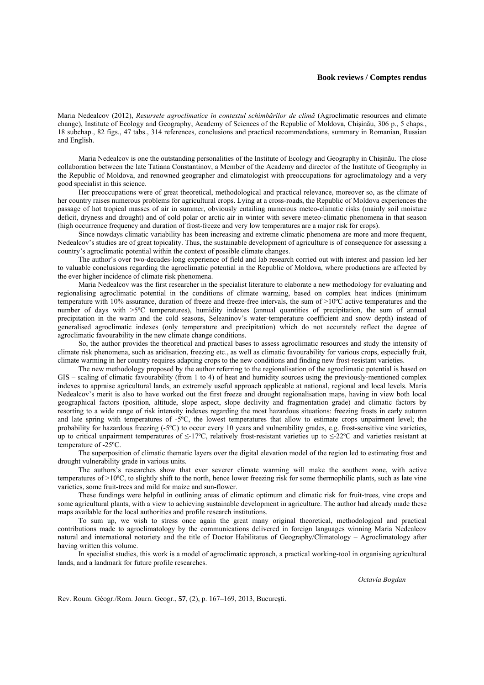## **Book reviews / Comptes rendus**

Maria Nedealcov (2012), *Resursele agroclimatice în contextul schimbărilor de climă* (Agroclimatic resources and climate change), Institute of Ecology and Geography, Academy of Sciences of the Republic of Moldova, Chişinău, 306 p., 5 chaps., 18 subchap., 82 figs., 47 tabs., 314 references, conclusions and practical recommendations, summary in Romanian, Russian and English.

Maria Nedealcov is one the outstanding personalities of the Institute of Ecology and Geography in Chişinău. The close collaboration between the late Tatiana Constantinov, a Member of the Academy and director of the Institute of Geography in the Republic of Moldova, and renowned geographer and climatologist with preoccupations for agroclimatology and a very good specialist in this science.

Her preoccupations were of great theoretical, methodological and practical relevance, moreover so, as the climate of her country raises numerous problems for agricultural crops. Lying at a cross-roads, the Republic of Moldova experiences the passage of hot tropical masses of air in summer, obviously entailing numerous meteo-climatic risks (mainly soil moisture deficit, dryness and drought) and of cold polar or arctic air in winter with severe meteo-climatic phenomena in that season (high occurrence frequency and duration of frost-freeze and very low temperatures are a major risk for crops).

Since nowdays climatic variability has been increasing and extreme climatic phenomena are more and more frequent, Nedealcov's studies are of great topicality. Thus, the sustainable development of agriculture is of consequence for assessing a country's agroclimatic potential within the context of possible climate changes.

The author's over two-decades-long experience of field and lab research corried out with interest and passion led her to valuable conclusions regarding the agroclimatic potential in the Republic of Moldova, where productions are affected by the ever higher incidence of climate risk phenomena.

Maria Nedealcov was the first researcher in the specialist literature to elaborate a new methodology for evaluating and regionalising agroclimatic potential in the conditions of climate warming, based on complex heat indices (minimum temperature with 10% assurance, duration of freeze and freeze-free intervals, the sum of >10ºC active temperatures and the number of days with >5ºC temperatures), humidity indexes (annual quantities of precipitation, the sum of annual precipitation in the warm and the cold seasons, Seleaninov's water-temperature coefficient and snow depth) instead of generalised agroclimatic indexes (only temperature and precipitation) which do not accurately reflect the degree of agroclimatic favourability in the new climate change conditions.

So, the author provides the theoretical and practical bases to assess agroclimatic resources and study the intensity of climate risk phenomena, such as aridisation, freezing etc., as well as climatic favourability for various crops, especially fruit, climate warming in her country requires adapting crops to the new conditions and finding new frost-resistant varieties.

The new methodology proposed by the author referring to the regionalisation of the agroclimatic potential is based on GIS – scaling of climatic favourability (from 1 to 4) of heat and humidity sources using the previously-mentioned complex indexes to appraise agricultural lands, an extremely useful approach applicable at national, regional and local levels. Maria Nedealcov's merit is also to have worked out the first freeze and drought regionalisation maps, having in view both local geographical factors (position, altitude, slope aspect, slope declivity and fragmentation grade) and climatic factors by resorting to a wide range of risk intensity indexes regarding the most hazardous situations: freezing frosts in early autumn and late spring with temperatures of -5ºC, the lowest temperatures that allow to estimate crops unpairment level; the probability for hazardous freezing (-5ºC) to occur every 10 years and vulnerability grades, e.g. frost-sensitive vine varieties, up to critical unpairment temperatures of ≤-17ºC, relatively frost-resistant varieties up to ≤-22ºC and varieties resistant at temperature of -25ºC.

The superposition of climatic thematic layers over the digital elevation model of the region led to estimating frost and drought vulnerability grade in various units.

The authors's researches show that ever severer climate warming will make the southern zone, with active temperatures of >10ºC, to slightly shift to the north, hence lower freezing risk for some thermophilic plants, such as late vine varieties, some fruit-trees and mild for maize and sun-flower.

These fundings were helpful in outlining areas of climatic optimum and climatic risk for fruit-trees, vine crops and some agricultural plants, with a view to achieving sustainable development in agriculture. The author had already made these maps available for the local authorities and profile research institutions.

To sum up, we wish to stress once again the great many original theoretical, methodological and practical contributions made to agroclimatology by the communications delivered in foreign languages winning Maria Nedealcov natural and international notoriety and the title of Doctor Habilitatus of Geography/Climatology – Agroclimatology after having written this volume.

In specialist studies, this work is a model of agroclimatic approach, a practical working-tool in organising agricultural lands, and a landmark for future profile researches.

*Octavia Bogdan* 

Rev. Roum. Géogr./Rom. Journ. Geogr., **57**, (2), p. 167–169, 2013, Bucureşti.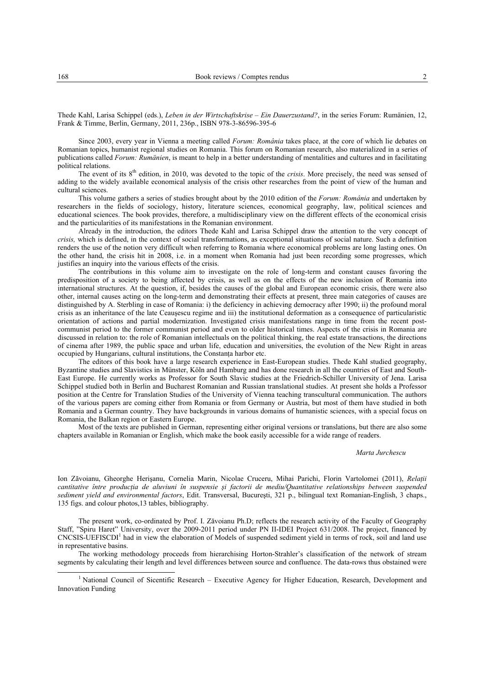Thede Kahl, Larisa Schippel (eds.), *Leben in der Wirtschaftskrise – Ein Dauerzustand?*, in the series Forum: Rumänien, 12, Frank & Timme, Berlin, Germany, 2011, 236p., ISBN 978-3-86596-395-6

Since 2003, every year in Vienna a meeting called *Forum: România* takes place, at the core of which lie debates on Romanian topics, humanist regional studies on Romania. This forum on Romanian research, also materialized in a series of publications called *Forum: Rumänien*, is meant to help in a better understanding of mentalities and cultures and in facilitating political relations.

The event of its 8<sup>th</sup> edition, in 2010, was devoted to the topic of the *crisis*. More precisely, the need was sensed of adding to the widely available economical analysis of the crisis other researches from the point of view of the human and cultural sciences.

This volume gathers a series of studies brought about by the 2010 edition of the *Forum: România* and undertaken by researchers in the fields of sociology, history, literature sciences, economical geography, law, political sciences and educational sciences. The book provides, therefore, a multidisciplinary view on the different effects of the economical crisis and the particularities of its manifestations in the Romanian environment.

Already in the introduction, the editors Thede Kahl and Larisa Schippel draw the attention to the very concept of *crisis,* which is defined, in the context of social transformations, as exceptional situations of social nature. Such a definition renders the use of the notion very difficult when referring to Romania where economical problems are long lasting ones. On the other hand, the crisis hit in 2008, i.e. in a moment when Romania had just been recording some progresses, which justifies an inquiry into the various effects of the crisis.

The contributions in this volume aim to investigate on the role of long-term and constant causes favoring the predisposition of a society to being affected by crisis, as well as on the effects of the new inclusion of Romania into international structures. At the question, if, besides the causes of the global and European economic crisis, there were also other, internal causes acting on the long-term and demonstrating their effects at present, three main categories of causes are distinguished by A. Sterbling in case of Romania: i) the deficiency in achieving democracy after 1990; ii) the profound moral crisis as an inheritance of the late Ceauşescu regime and iii) the institutional deformation as a consequence of particularistic orientation of actions and partial modernization. Investigated crisis manifestations range in time from the recent postcommunist period to the former communist period and even to older historical times. Aspects of the crisis in Romania are discussed in relation to: the role of Romanian intellectuals on the political thinking, the real estate transactions, the directions of cinema after 1989, the public space and urban life, education and universities, the evolution of the New Right in areas occupied by Hungarians, cultural institutions, the Constanta harbor etc.

The editors of this book have a large research experience in East-European studies. Thede Kahl studied geography, Byzantine studies and Slavistics in Münster, Köln and Hamburg and has done research in all the countries of East and South-East Europe. He currently works as Professor for South Slavic studies at the Friedrich-Schiller University of Jena. Larisa Schippel studied both in Berlin and Bucharest Romanian and Russian translational studies. At present she holds a Professor position at the Centre for Translation Studies of the University of Vienna teaching transcultural communication. The authors of the various papers are coming either from Romania or from Germany or Austria, but most of them have studied in both Romania and a German country. They have backgrounds in various domains of humanistic sciences, with a special focus on Romania, the Balkan region or Eastern Europe.

Most of the texts are published in German, representing either original versions or translations, but there are also some chapters available in Romanian or English, which make the book easily accessible for a wide range of readers.

## *Marta Jurchescu*

Ion Zăvoianu, Gheorghe Herişanu, Cornelia Marin, Nicolae Cruceru, Mihai Parichi, Florin Vartolomei (2011), *Relaţii cantitative între producţia de aluviuni în suspensie şi factorii de mediu/Quantitative relationships between suspended sediment yield and environmental factors*, Edit. Transversal, Bucureşti, 321 p., bilingual text Romanian-English, 3 chaps., 135 figs. and colour photos,13 tables, bibliography.

The present work, co-ordinated by Prof. I. Zăvoianu Ph.D; reflects the research activity of the Faculty of Geography Staff, "Spiru Haret" University, over the 2009-2011 period under PN II-IDEI Project 631/2008. The project, financed by  $CNCSIS-UEFISCDI<sup>1</sup>$  had in view the elaboration of Models of suspended sediment yield in terms of rock, soil and land use in representative basins.

The working methodology proceeds from hierarchising Horton-Strahler's classification of the network of stream segments by calculating their length and level differences between source and confluence. The data-rows thus obstained were

 $\overline{1}$ <sup>1</sup> National Council of Sicentific Research – Executive Agency for Higher Education, Research, Development and Innovation Funding